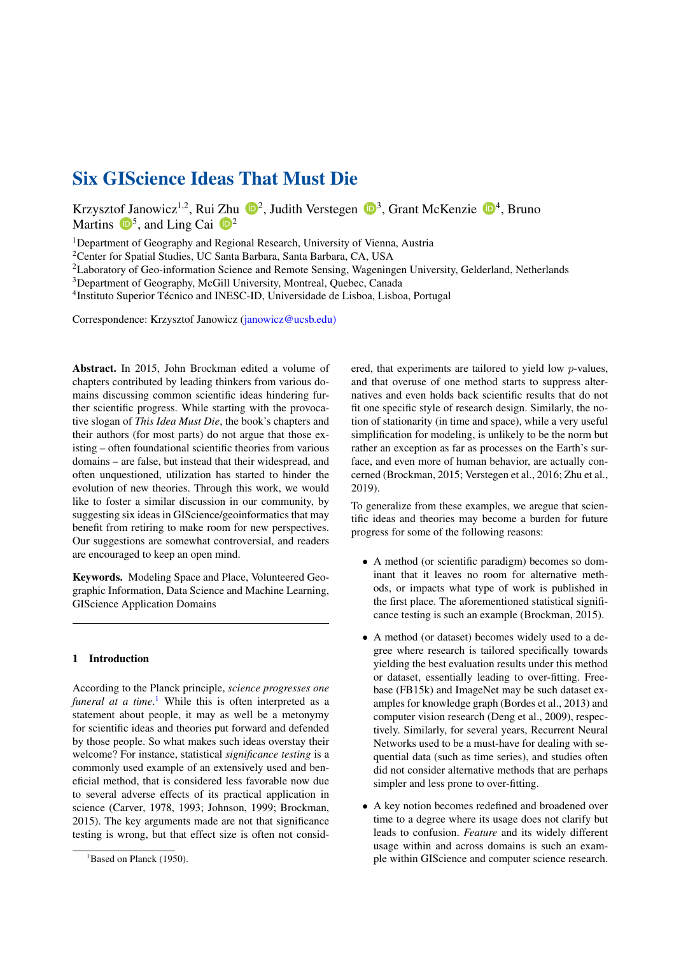# Six GIScience Ideas That Must Die

Krzysztof Janowicz<sup>1,2</sup>, Rui Zhu  $\mathbb{D}^2$ , Judith Verstegen  $\mathbb{D}^3$ , Grant McKenzie  $\mathbb{D}^4$ , Bruno Martins  $\mathbf{D}^5$ , and Ling Cai  $\mathbf{D}^2$ 

<sup>1</sup>Department of Geography and Regional Research, University of Vienna, Austria

<sup>2</sup>Center for Spatial Studies, UC Santa Barbara, Santa Barbara, CA, USA

<sup>2</sup>Laboratory of Geo-information Science and Remote Sensing, Wageningen University, Gelderland, Netherlands

<sup>3</sup>Department of Geography, McGill University, Montreal, Quebec, Canada

4 Instituto Superior Técnico and INESC-ID, Universidade de Lisboa, Lisboa, Portugal

Correspondence: Krzysztof Janowicz (janowicz@ucsb.edu)

Abstract. In 2015, John Brockman edited a volume of chapters contributed by leading thinkers from various domains discussing common scientific ideas hindering further scientific progress. While starting with the provocative slogan of *This Idea Must Die*, the book's chapters and their authors (for most parts) do not argue that those existing – often foundational scientific theories from various domains – are false, but instead that their widespread, and often unquestioned, utilization has started to hinder the evolution of new theories. Through this work, we would like to foster a similar discussion in our community, by suggesting six ideas in GIScience/geoinformatics that may benefit from retiring to make room for new perspectives. Our suggestions are somewhat controversial, and readers are encouraged to keep an open mind.

Keywords. Modeling Space and Place, Volunteered Geographic Information, Data Science and Machine Learning, GIScience Application Domains

## 1 Introduction

According to the Planck principle, *science progresses one funeral at a time*. [1](#page-0-0) While this is often interpreted as a statement about people, it may as well be a metonymy for scientific ideas and theories put forward and defended by those people. So what makes such ideas overstay their welcome? For instance, statistical *significance testing* is a commonly used example of an extensively used and beneficial method, that is considered less favorable now due to several adverse effects of its practical application in science [\(Carver,](#page-6-0) [1978,](#page-6-0) [1993;](#page-6-1) [Johnson,](#page-6-2) [1999;](#page-6-2) [Brockman,](#page-6-3) [2015\)](#page-6-3). The key arguments made are not that significance testing is wrong, but that effect size is often not considered, that experiments are tailored to yield low p-values, and that overuse of one method starts to suppress alternatives and even holds back scientific results that do not fit one specific style of research design. Similarly, the notion of stationarity (in time and space), while a very useful simplification for modeling, is unlikely to be the norm but rather an exception as far as processes on the Earth's surface, and even more of human behavior, are actually concerned [\(Brockman,](#page-6-3) [2015;](#page-6-3) [Verstegen et al.,](#page-7-1) [2016;](#page-7-1) [Zhu et al.,](#page-7-2) [2019\)](#page-7-2).

To generalize from these examples, we aregue that scientific ideas and theories may become a burden for future progress for some of the following reasons:

- A method (or scientific paradigm) becomes so dominant that it leaves no room for alternative methods, or impacts what type of work is published in the first place. The aforementioned statistical significance testing is such an example [\(Brockman,](#page-6-3) [2015\)](#page-6-3).
- A method (or dataset) becomes widely used to a degree where research is tailored specifically towards yielding the best evaluation results under this method or dataset, essentially leading to over-fitting. Freebase (FB15k) and ImageNet may be such dataset examples for knowledge graph [\(Bordes et al.,](#page-6-4) [2013\)](#page-6-4) and computer vision research [\(Deng et al.,](#page-6-5) [2009\)](#page-6-5), respectively. Similarly, for several years, Recurrent Neural Networks used to be a must-have for dealing with sequential data (such as time series), and studies often did not consider alternative methods that are perhaps simpler and less prone to over-fitting.
- A key notion becomes redefined and broadened over time to a degree where its usage does not clarify but leads to confusion. *Feature* and its widely different usage within and across domains is such an example within GIScience and computer science research.

<span id="page-0-0"></span> $<sup>1</sup>$ Based on [Planck](#page-7-0) [\(1950\)](#page-7-0).</sup>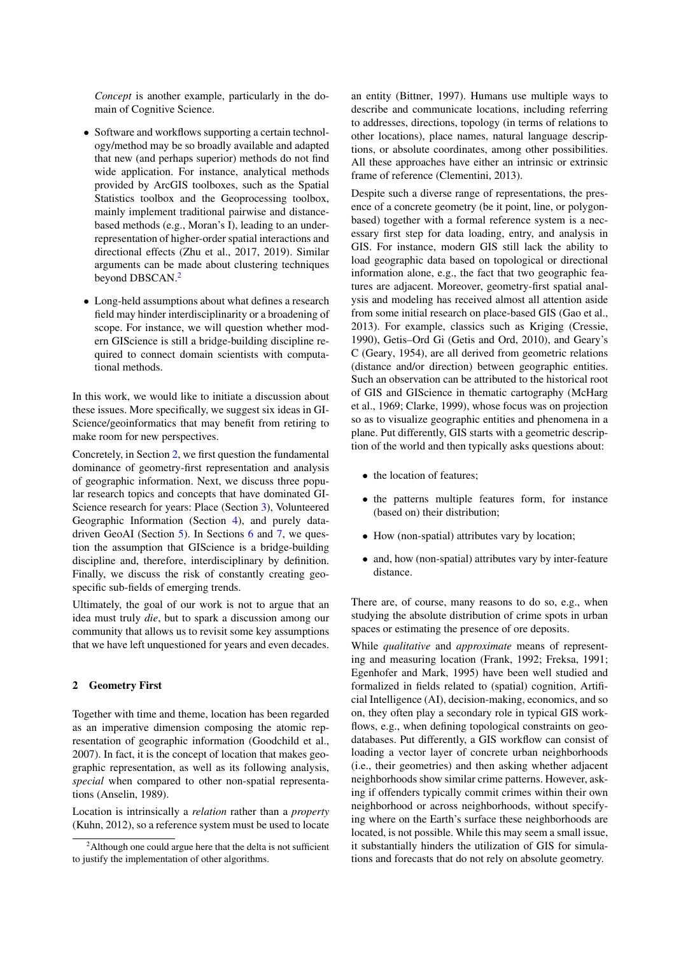*Concept* is another example, particularly in the domain of Cognitive Science.

- Software and workflows supporting a certain technology/method may be so broadly available and adapted that new (and perhaps superior) methods do not find wide application. For instance, analytical methods provided by ArcGIS toolboxes, such as the Spatial Statistics toolbox and the Geoprocessing toolbox, mainly implement traditional pairwise and distancebased methods (e.g., Moran's I), leading to an underrepresentation of higher-order spatial interactions and directional effects [\(Zhu et al.,](#page-7-3) [2017,](#page-7-3) [2019\)](#page-7-2). Similar arguments can be made about clustering techniques beyond DBSCAN.<sup>[2](#page-1-0)</sup>
- Long-held assumptions about what defines a research field may hinder interdisciplinarity or a broadening of scope. For instance, we will question whether modern GIScience is still a bridge-building discipline required to connect domain scientists with computational methods.

In this work, we would like to initiate a discussion about these issues. More specifically, we suggest six ideas in GI-Science/geoinformatics that may benefit from retiring to make room for new perspectives.

Concretely, in Section [2,](#page-1-1) we first question the fundamental dominance of geometry-first representation and analysis of geographic information. Next, we discuss three popular research topics and concepts that have dominated GI-Science research for years: Place (Section [3\)](#page-2-0), Volunteered Geographic Information (Section [4\)](#page-2-1), and purely datadriven GeoAI (Section [5\)](#page-3-0). In Sections [6](#page-4-0) and [7,](#page-5-0) we question the assumption that GIScience is a bridge-building discipline and, therefore, interdisciplinary by definition. Finally, we discuss the risk of constantly creating geospecific sub-fields of emerging trends.

Ultimately, the goal of our work is not to argue that an idea must truly *die*, but to spark a discussion among our community that allows us to revisit some key assumptions that we have left unquestioned for years and even decades.

## <span id="page-1-1"></span>2 Geometry First

Together with time and theme, location has been regarded as an imperative dimension composing the atomic representation of geographic information [\(Goodchild et al.,](#page-6-6) [2007\)](#page-6-6). In fact, it is the concept of location that makes geographic representation, as well as its following analysis, *special* when compared to other non-spatial representations [\(Anselin,](#page-5-1) [1989\)](#page-5-1).

Location is intrinsically a *relation* rather than a *property* [\(Kuhn,](#page-6-7) [2012\)](#page-6-7), so a reference system must be used to locate an entity [\(Bittner,](#page-6-8) [1997\)](#page-6-8). Humans use multiple ways to describe and communicate locations, including referring to addresses, directions, topology (in terms of relations to other locations), place names, natural language descriptions, or absolute coordinates, among other possibilities. All these approaches have either an intrinsic or extrinsic frame of reference [\(Clementini,](#page-6-9) [2013\)](#page-6-9).

Despite such a diverse range of representations, the presence of a concrete geometry (be it point, line, or polygonbased) together with a formal reference system is a necessary first step for data loading, entry, and analysis in GIS. For instance, modern GIS still lack the ability to load geographic data based on topological or directional information alone, e.g., the fact that two geographic features are adjacent. Moreover, geometry-first spatial analysis and modeling has received almost all attention aside from some initial research on place-based GIS [\(Gao et al.,](#page-6-10) [2013\)](#page-6-10). For example, classics such as Kriging [\(Cressie,](#page-6-11) [1990\)](#page-6-11), Getis–Ord Gi [\(Getis and Ord,](#page-6-12) [2010\)](#page-6-12), and Geary's C [\(Geary,](#page-6-13) [1954\)](#page-6-13), are all derived from geometric relations (distance and/or direction) between geographic entities. Such an observation can be attributed to the historical root of GIS and GIScience in thematic cartography [\(McHarg](#page-7-4) [et al.,](#page-7-4) [1969;](#page-7-4) [Clarke,](#page-6-14) [1999\)](#page-6-14), whose focus was on projection so as to visualize geographic entities and phenomena in a plane. Put differently, GIS starts with a geometric description of the world and then typically asks questions about:

- the location of features;
- the patterns multiple features form, for instance (based on) their distribution;
- How (non-spatial) attributes vary by location;
- and, how (non-spatial) attributes vary by inter-feature distance.

There are, of course, many reasons to do so, e.g., when studying the absolute distribution of crime spots in urban spaces or estimating the presence of ore deposits.

While *qualitative* and *approximate* means of representing and measuring location [\(Frank,](#page-6-15) [1992;](#page-6-15) [Freksa,](#page-6-16) [1991;](#page-6-16) [Egenhofer and Mark,](#page-6-17) [1995\)](#page-6-17) have been well studied and formalized in fields related to (spatial) cognition, Artificial Intelligence (AI), decision-making, economics, and so on, they often play a secondary role in typical GIS workflows, e.g., when defining topological constraints on geodatabases. Put differently, a GIS workflow can consist of loading a vector layer of concrete urban neighborhoods (i.e., their geometries) and then asking whether adjacent neighborhoods show similar crime patterns. However, asking if offenders typically commit crimes within their own neighborhood or across neighborhoods, without specifying where on the Earth's surface these neighborhoods are located, is not possible. While this may seem a small issue, it substantially hinders the utilization of GIS for simulations and forecasts that do not rely on absolute geometry.

<span id="page-1-0"></span><sup>&</sup>lt;sup>2</sup>Although one could argue here that the delta is not sufficient to justify the implementation of other algorithms.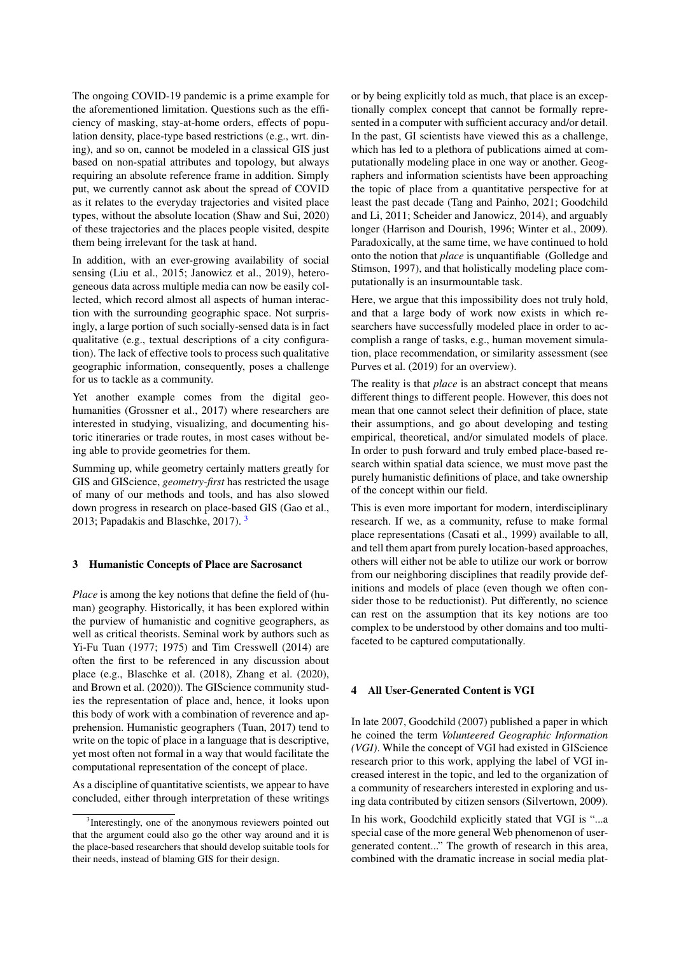The ongoing COVID-19 pandemic is a prime example for the aforementioned limitation. Questions such as the efficiency of masking, stay-at-home orders, effects of population density, place-type based restrictions (e.g., wrt. dining), and so on, cannot be modeled in a classical GIS just based on non-spatial attributes and topology, but always requiring an absolute reference frame in addition. Simply put, we currently cannot ask about the spread of COVID as it relates to the everyday trajectories and visited place types, without the absolute location [\(Shaw and Sui,](#page-7-5) [2020\)](#page-7-5) of these trajectories and the places people visited, despite them being irrelevant for the task at hand.

In addition, with an ever-growing availability of social sensing [\(Liu et al.,](#page-7-6) [2015;](#page-7-6) [Janowicz et al.,](#page-6-18) [2019\)](#page-6-18), heterogeneous data across multiple media can now be easily collected, which record almost all aspects of human interaction with the surrounding geographic space. Not surprisingly, a large portion of such socially-sensed data is in fact qualitative (e.g., textual descriptions of a city configuration). The lack of effective tools to process such qualitative geographic information, consequently, poses a challenge for us to tackle as a community.

Yet another example comes from the digital geohumanities [\(Grossner et al.,](#page-6-19) [2017\)](#page-6-19) where researchers are interested in studying, visualizing, and documenting historic itineraries or trade routes, in most cases without being able to provide geometries for them.

Summing up, while geometry certainly matters greatly for GIS and GIScience, *geometry-first* has restricted the usage of many of our methods and tools, and has also slowed down progress in research on place-based GIS [\(Gao et al.,](#page-6-10) [2013;](#page-6-10) [Papadakis and Blaschke,](#page-7-7) [2017\)](#page-7-7). [3](#page-2-2)

## <span id="page-2-0"></span>3 Humanistic Concepts of Place are Sacrosanct

*Place* is among the key notions that define the field of (human) geography. Historically, it has been explored within the purview of humanistic and cognitive geographers, as well as critical theorists. Seminal work by authors such as Yi-Fu Tuan [\(1977;](#page-7-8) [1975\)](#page-7-9) and Tim Cresswell [\(2014\)](#page-6-20) are often the first to be referenced in any discussion about place (e.g., [Blaschke et al.](#page-6-21) [\(2018\)](#page-6-21), [Zhang et al.](#page-7-10) [\(2020\)](#page-7-10), and [Brown et al.](#page-6-22) [\(2020\)](#page-6-22)). The GIScience community studies the representation of place and, hence, it looks upon this body of work with a combination of reverence and apprehension. Humanistic geographers [\(Tuan,](#page-7-11) [2017\)](#page-7-11) tend to write on the topic of place in a language that is descriptive, yet most often not formal in a way that would facilitate the computational representation of the concept of place.

As a discipline of quantitative scientists, we appear to have concluded, either through interpretation of these writings or by being explicitly told as much, that place is an exceptionally complex concept that cannot be formally represented in a computer with sufficient accuracy and/or detail. In the past, GI scientists have viewed this as a challenge, which has led to a plethora of publications aimed at computationally modeling place in one way or another. Geographers and information scientists have been approaching the topic of place from a quantitative perspective for at least the past decade [\(Tang and Painho,](#page-7-12) [2021;](#page-7-12) [Goodchild](#page-6-23) [and Li,](#page-6-23) [2011;](#page-6-23) [Scheider and Janowicz,](#page-7-13) [2014\)](#page-7-13), and arguably longer [\(Harrison and Dourish,](#page-6-24) [1996;](#page-6-24) [Winter et al.,](#page-7-14) [2009\)](#page-7-14). Paradoxically, at the same time, we have continued to hold onto the notion that *place* is unquantifiable [\(Golledge and](#page-6-25) [Stimson,](#page-6-25) [1997\)](#page-6-25), and that holistically modeling place computationally is an insurmountable task.

Here, we argue that this impossibility does not truly hold, and that a large body of work now exists in which researchers have successfully modeled place in order to accomplish a range of tasks, e.g., human movement simulation, place recommendation, or similarity assessment (see [Purves et al.](#page-7-15) [\(2019\)](#page-7-15) for an overview).

The reality is that *place* is an abstract concept that means different things to different people. However, this does not mean that one cannot select their definition of place, state their assumptions, and go about developing and testing empirical, theoretical, and/or simulated models of place. In order to push forward and truly embed place-based research within spatial data science, we must move past the purely humanistic definitions of place, and take ownership of the concept within our field.

This is even more important for modern, interdisciplinary research. If we, as a community, refuse to make formal place representations [\(Casati et al.,](#page-6-26) [1999\)](#page-6-26) available to all, and tell them apart from purely location-based approaches, others will either not be able to utilize our work or borrow from our neighboring disciplines that readily provide definitions and models of place (even though we often consider those to be reductionist). Put differently, no science can rest on the assumption that its key notions are too complex to be understood by other domains and too multifaceted to be captured computationally.

#### <span id="page-2-1"></span>4 All User-Generated Content is VGI

In late 2007, [Goodchild](#page-6-27) [\(2007\)](#page-6-27) published a paper in which he coined the term *Volunteered Geographic Information (VGI)*. While the concept of VGI had existed in GIScience research prior to this work, applying the label of VGI increased interest in the topic, and led to the organization of a community of researchers interested in exploring and using data contributed by citizen sensors [\(Silvertown,](#page-7-16) [2009\)](#page-7-16).

In his work, Goodchild explicitly stated that VGI is "...a special case of the more general Web phenomenon of usergenerated content..." The growth of research in this area, combined with the dramatic increase in social media plat-

<span id="page-2-2"></span><sup>&</sup>lt;sup>3</sup>Interestingly, one of the anonymous reviewers pointed out that the argument could also go the other way around and it is the place-based researchers that should develop suitable tools for their needs, instead of blaming GIS for their design.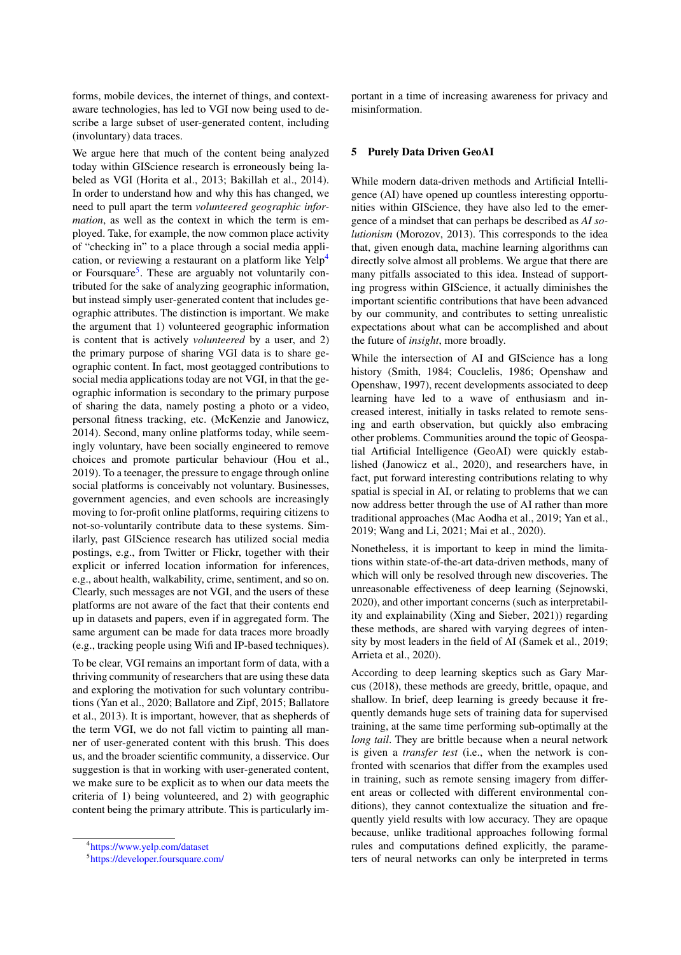forms, mobile devices, the internet of things, and contextaware technologies, has led to VGI now being used to describe a large subset of user-generated content, including (involuntary) data traces.

We argue here that much of the content being analyzed today within GIScience research is erroneously being labeled as VGI [\(Horita et al.,](#page-6-28) [2013;](#page-6-28) [Bakillah et al.,](#page-5-2) [2014\)](#page-5-2). In order to understand how and why this has changed, we need to pull apart the term *volunteered geographic information*, as well as the context in which the term is employed. Take, for example, the now common place activity of "checking in" to a place through a social media appli-cation, or reviewing a restaurant on a platform like Yelp<sup>[4](#page-3-1)</sup> or Foursquare<sup>[5](#page-3-2)</sup>. These are arguably not voluntarily contributed for the sake of analyzing geographic information, but instead simply user-generated content that includes geographic attributes. The distinction is important. We make the argument that 1) volunteered geographic information is content that is actively *volunteered* by a user, and 2) the primary purpose of sharing VGI data is to share geographic content. In fact, most geotagged contributions to social media applications today are not VGI, in that the geographic information is secondary to the primary purpose of sharing the data, namely posting a photo or a video, personal fitness tracking, etc. [\(McKenzie and Janowicz,](#page-7-17) [2014\)](#page-7-17). Second, many online platforms today, while seemingly voluntary, have been socially engineered to remove choices and promote particular behaviour [\(Hou et al.,](#page-6-29) [2019\)](#page-6-29). To a teenager, the pressure to engage through online social platforms is conceivably not voluntary. Businesses, government agencies, and even schools are increasingly moving to for-profit online platforms, requiring citizens to not-so-voluntarily contribute data to these systems. Similarly, past GIScience research has utilized social media postings, e.g., from Twitter or Flickr, together with their explicit or inferred location information for inferences, e.g., about health, walkability, crime, sentiment, and so on. Clearly, such messages are not VGI, and the users of these platforms are not aware of the fact that their contents end up in datasets and papers, even if in aggregated form. The same argument can be made for data traces more broadly (e.g., tracking people using Wifi and IP-based techniques).

To be clear, VGI remains an important form of data, with a thriving community of researchers that are using these data and exploring the motivation for such voluntary contributions [\(Yan et al.,](#page-7-18) [2020;](#page-7-18) [Ballatore and Zipf,](#page-5-3) [2015;](#page-5-3) [Ballatore](#page-5-4) [et al.,](#page-5-4) [2013\)](#page-5-4). It is important, however, that as shepherds of the term VGI, we do not fall victim to painting all manner of user-generated content with this brush. This does us, and the broader scientific community, a disservice. Our suggestion is that in working with user-generated content, we make sure to be explicit as to when our data meets the criteria of 1) being volunteered, and 2) with geographic content being the primary attribute. This is particularly important in a time of increasing awareness for privacy and misinformation.

## <span id="page-3-0"></span>5 Purely Data Driven GeoAI

While modern data-driven methods and Artificial Intelligence (AI) have opened up countless interesting opportunities within GIScience, they have also led to the emergence of a mindset that can perhaps be described as *AI solutionism* [\(Morozov,](#page-7-19) [2013\)](#page-7-19). This corresponds to the idea that, given enough data, machine learning algorithms can directly solve almost all problems. We argue that there are many pitfalls associated to this idea. Instead of supporting progress within GIScience, it actually diminishes the important scientific contributions that have been advanced by our community, and contributes to setting unrealistic expectations about what can be accomplished and about the future of *insight*, more broadly.

While the intersection of AI and GIScience has a long history [\(Smith,](#page-7-20) [1984;](#page-7-20) [Couclelis,](#page-6-30) [1986;](#page-6-30) [Openshaw and](#page-7-21) [Openshaw,](#page-7-21) [1997\)](#page-7-21), recent developments associated to deep learning have led to a wave of enthusiasm and increased interest, initially in tasks related to remote sensing and earth observation, but quickly also embracing other problems. Communities around the topic of Geospatial Artificial Intelligence (GeoAI) were quickly established [\(Janowicz et al.,](#page-6-31) [2020\)](#page-6-31), and researchers have, in fact, put forward interesting contributions relating to why spatial is special in AI, or relating to problems that we can now address better through the use of AI rather than more traditional approaches [\(Mac Aodha et al.,](#page-7-22) [2019;](#page-7-22) [Yan et al.,](#page-7-23) [2019;](#page-7-23) [Wang and Li,](#page-7-24) [2021;](#page-7-24) [Mai et al.,](#page-7-25) [2020\)](#page-7-25).

Nonetheless, it is important to keep in mind the limitations within state-of-the-art data-driven methods, many of which will only be resolved through new discoveries. The unreasonable effectiveness of deep learning [\(Sejnowski,](#page-7-26) [2020\)](#page-7-26), and other important concerns (such as interpretability and explainability [\(Xing and Sieber,](#page-7-27) [2021\)](#page-7-27)) regarding these methods, are shared with varying degrees of intensity by most leaders in the field of AI [\(Samek et al.,](#page-7-28) [2019;](#page-7-28) [Arrieta et al.,](#page-5-5) [2020\)](#page-5-5).

According to deep learning skeptics such as Gary Marcus [\(2018\)](#page-7-29), these methods are greedy, brittle, opaque, and shallow. In brief, deep learning is greedy because it frequently demands huge sets of training data for supervised training, at the same time performing sub-optimally at the *long tail*. They are brittle because when a neural network is given a *transfer test* (i.e., when the network is confronted with scenarios that differ from the examples used in training, such as remote sensing imagery from different areas or collected with different environmental conditions), they cannot contextualize the situation and frequently yield results with low accuracy. They are opaque because, unlike traditional approaches following formal rules and computations defined explicitly, the parameters of neural networks can only be interpreted in terms

<span id="page-3-1"></span><sup>4</sup> <https://www.yelp.com/dataset>

<span id="page-3-2"></span><sup>5</sup> <https://developer.foursquare.com/>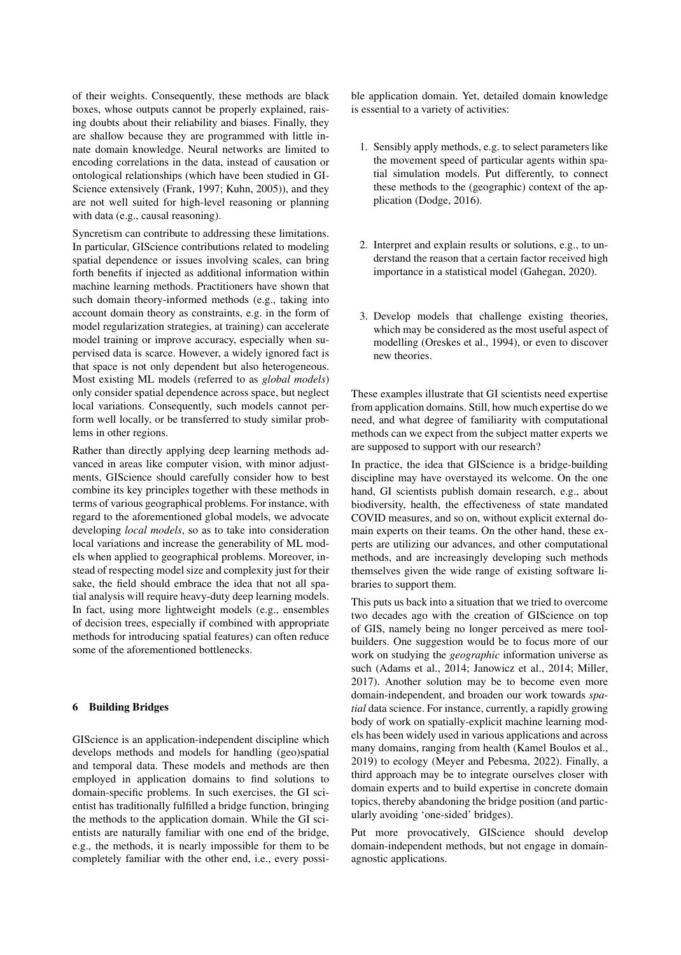of their weights. Consequently, these methods are black boxes, whose outputs cannot be properly explained, raising doubts about their reliability and biases. Finally, they are shallow because they are programmed with little innate domain knowledge. Neural networks are limited to encoding correlations in the data, instead of causation or ontological relationships (which have been studied in GI-Science extensively [\(Frank,](#page-6-32) [1997;](#page-6-32) [Kuhn,](#page-6-33) [2005\)](#page-6-33)), and they are not well suited for high-level reasoning or planning with data (e.g., causal reasoning).

Syncretism can contribute to addressing these limitations. In particular, GIScience contributions related to modeling spatial dependence or issues involving scales, can bring forth benefits if injected as additional information within machine learning methods. Practitioners have shown that such domain theory-informed methods (e.g., taking into account domain theory as constraints, e.g. in the form of model regularization strategies, at training) can accelerate model training or improve accuracy, especially when supervised data is scarce. However, a widely ignored fact is that space is not only dependent but also heterogeneous. Most existing ML models (referred to as *global models*) only consider spatial dependence across space, but neglect local variations. Consequently, such models cannot perform well locally, or be transferred to study similar problems in other regions.

Rather than directly applying deep learning methods advanced in areas like computer vision, with minor adjustments, GIScience should carefully consider how to best combine its key principles together with these methods in terms of various geographical problems. For instance, with regard to the aforementioned global models, we advocate developing *local models*, so as to take into consideration local variations and increase the generability of ML models when applied to geographical problems. Moreover, instead of respecting model size and complexity just for their sake, the field should embrace the idea that not all spatial analysis will require heavy-duty deep learning models. In fact, using more lightweight models (e.g., ensembles of decision trees, especially if combined with appropriate methods for introducing spatial features) can often reduce some of the aforementioned bottlenecks.

### <span id="page-4-0"></span>6 Building Bridges

GIScience is an application-independent discipline which develops methods and models for handling (geo)spatial and temporal data. These models and methods are then employed in application domains to find solutions to domain-specific problems. In such exercises, the GI scientist has traditionally fulfilled a bridge function, bringing the methods to the application domain. While the GI scientists are naturally familiar with one end of the bridge, e.g., the methods, it is nearly impossible for them to be completely familiar with the other end, i.e., every possible application domain. Yet, detailed domain knowledge is essential to a variety of activities:

- 1. Sensibly apply methods, e.g. to select parameters like the movement speed of particular agents within spatial simulation models. Put differently, to connect these methods to the (geographic) context of the application [\(Dodge,](#page-6-34) [2016\)](#page-6-34).
- 2. Interpret and explain results or solutions, e.g., to understand the reason that a certain factor received high importance in a statistical model [\(Gahegan,](#page-6-35) [2020\)](#page-6-35).
- 3. Develop models that challenge existing theories, which may be considered as the most useful aspect of modelling [\(Oreskes et al.,](#page-7-30) [1994\)](#page-7-30), or even to discover new theories.

These examples illustrate that GI scientists need expertise from application domains. Still, how much expertise do we need, and what degree of familiarity with computational methods can we expect from the subject matter experts we are supposed to support with our research?

In practice, the idea that GIScience is a bridge-building discipline may have overstayed its welcome. On the one hand, GI scientists publish domain research, e.g., about biodiversity, health, the effectiveness of state mandated COVID measures, and so on, without explicit external domain experts on their teams. On the other hand, these experts are utilizing our advances, and other computational methods, and are increasingly developing such methods themselves given the wide range of existing software libraries to support them.

This puts us back into a situation that we tried to overcome two decades ago with the creation of GIScience on top of GIS, namely being no longer perceived as mere toolbuilders. One suggestion would be to focus more of our work on studying the *geographic* information universe as such [\(Adams et al.,](#page-5-6) [2014;](#page-5-6) [Janowicz et al.,](#page-6-36) [2014;](#page-6-36) [Miller,](#page-7-31) [2017\)](#page-7-31). Another solution may be to become even more domain-independent, and broaden our work towards *spatial* data science. For instance, currently, a rapidly growing body of work on spatially-explicit machine learning models has been widely used in various applications and across many domains, ranging from health [\(Kamel Boulos et al.,](#page-6-37) [2019\)](#page-6-37) to ecology [\(Meyer and Pebesma,](#page-7-32) [2022\)](#page-7-32). Finally, a third approach may be to integrate ourselves closer with domain experts and to build expertise in concrete domain topics, thereby abandoning the bridge position (and particularly avoiding 'one-sided' bridges).

Put more provocatively, GIScience should develop domain-independent methods, but not engage in domainagnostic applications.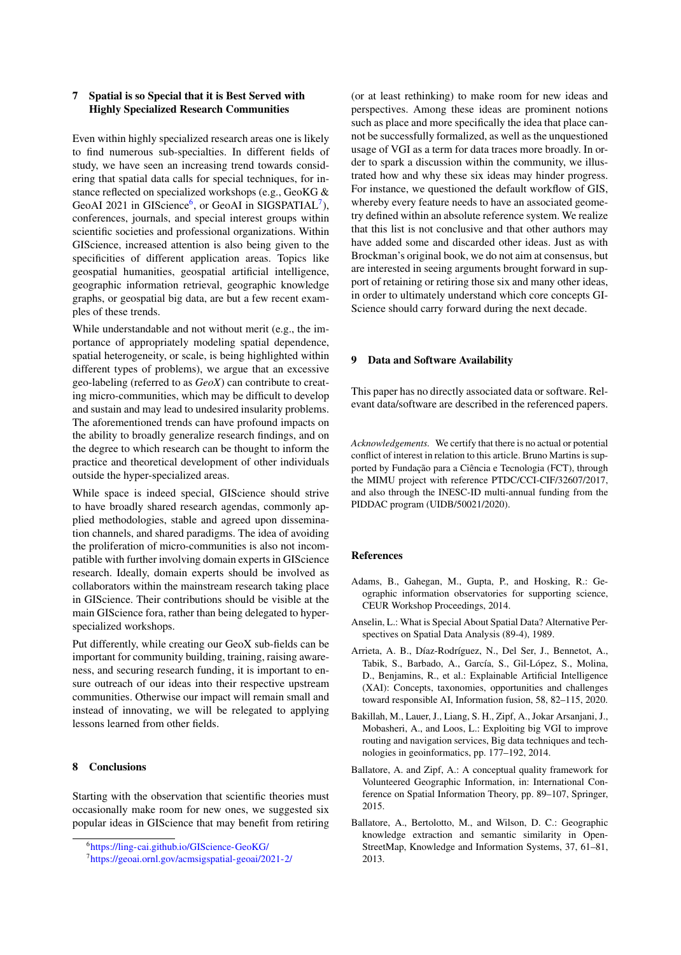## <span id="page-5-0"></span>7 Spatial is so Special that it is Best Served with Highly Specialized Research Communities

Even within highly specialized research areas one is likely to find numerous sub-specialties. In different fields of study, we have seen an increasing trend towards considering that spatial data calls for special techniques, for instance reflected on specialized workshops (e.g., GeoKG & GeoAI 2021 in GIScience<sup>[6](#page-5-7)</sup>, or GeoAI in SIGSPATIAL<sup>[7](#page-5-8)</sup>), conferences, journals, and special interest groups within scientific societies and professional organizations. Within GIScience, increased attention is also being given to the specificities of different application areas. Topics like geospatial humanities, geospatial artificial intelligence, geographic information retrieval, geographic knowledge graphs, or geospatial big data, are but a few recent examples of these trends.

While understandable and not without merit (e.g., the importance of appropriately modeling spatial dependence, spatial heterogeneity, or scale, is being highlighted within different types of problems), we argue that an excessive geo-labeling (referred to as *GeoX*) can contribute to creating micro-communities, which may be difficult to develop and sustain and may lead to undesired insularity problems. The aforementioned trends can have profound impacts on the ability to broadly generalize research findings, and on the degree to which research can be thought to inform the practice and theoretical development of other individuals outside the hyper-specialized areas.

While space is indeed special, GIScience should strive to have broadly shared research agendas, commonly applied methodologies, stable and agreed upon dissemination channels, and shared paradigms. The idea of avoiding the proliferation of micro-communities is also not incompatible with further involving domain experts in GIScience research. Ideally, domain experts should be involved as collaborators within the mainstream research taking place in GIScience. Their contributions should be visible at the main GIScience fora, rather than being delegated to hyperspecialized workshops.

Put differently, while creating our GeoX sub-fields can be important for community building, training, raising awareness, and securing research funding, it is important to ensure outreach of our ideas into their respective upstream communities. Otherwise our impact will remain small and instead of innovating, we will be relegated to applying lessons learned from other fields.

#### 8 Conclusions

Starting with the observation that scientific theories must occasionally make room for new ones, we suggested six popular ideas in GIScience that may benefit from retiring

(or at least rethinking) to make room for new ideas and perspectives. Among these ideas are prominent notions such as place and more specifically the idea that place cannot be successfully formalized, as well as the unquestioned usage of VGI as a term for data traces more broadly. In order to spark a discussion within the community, we illustrated how and why these six ideas may hinder progress. For instance, we questioned the default workflow of GIS, whereby every feature needs to have an associated geometry defined within an absolute reference system. We realize that this list is not conclusive and that other authors may have added some and discarded other ideas. Just as with Brockman's original book, we do not aim at consensus, but are interested in seeing arguments brought forward in support of retaining or retiring those six and many other ideas, in order to ultimately understand which core concepts GI-Science should carry forward during the next decade.

#### 9 Data and Software Availability

This paper has no directly associated data or software. Relevant data/software are described in the referenced papers.

*Acknowledgements.* We certify that there is no actual or potential conflict of interest in relation to this article. Bruno Martins is supported by Fundação para a Ciência e Tecnologia (FCT), through the MIMU project with reference PTDC/CCI-CIF/32607/2017, and also through the INESC-ID multi-annual funding from the PIDDAC program (UIDB/50021/2020).

## References

- <span id="page-5-6"></span>Adams, B., Gahegan, M., Gupta, P., and Hosking, R.: Geographic information observatories for supporting science, CEUR Workshop Proceedings, 2014.
- <span id="page-5-1"></span>Anselin, L.: What is Special About Spatial Data? Alternative Perspectives on Spatial Data Analysis (89-4), 1989.
- <span id="page-5-5"></span>Arrieta, A. B., Díaz-Rodríguez, N., Del Ser, J., Bennetot, A., Tabik, S., Barbado, A., García, S., Gil-López, S., Molina, D., Benjamins, R., et al.: Explainable Artificial Intelligence (XAI): Concepts, taxonomies, opportunities and challenges toward responsible AI, Information fusion, 58, 82–115, 2020.
- <span id="page-5-2"></span>Bakillah, M., Lauer, J., Liang, S. H., Zipf, A., Jokar Arsanjani, J., Mobasheri, A., and Loos, L.: Exploiting big VGI to improve routing and navigation services, Big data techniques and technologies in geoinformatics, pp. 177–192, 2014.
- <span id="page-5-3"></span>Ballatore, A. and Zipf, A.: A conceptual quality framework for Volunteered Geographic Information, in: International Conference on Spatial Information Theory, pp. 89–107, Springer, 2015.
- <span id="page-5-4"></span>Ballatore, A., Bertolotto, M., and Wilson, D. C.: Geographic knowledge extraction and semantic similarity in Open-StreetMap, Knowledge and Information Systems, 37, 61–81, 2013.

<span id="page-5-7"></span><sup>6</sup> <https://ling-cai.github.io/GIScience-GeoKG/>

<span id="page-5-8"></span><sup>7</sup> <https://geoai.ornl.gov/acmsigspatial-geoai/2021-2/>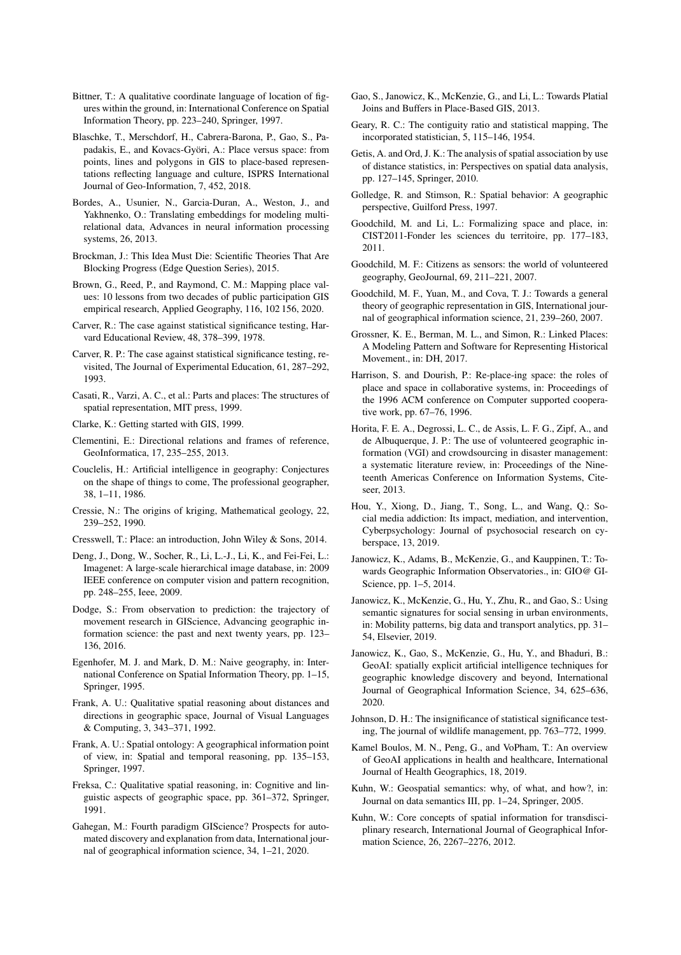- <span id="page-6-8"></span>Bittner, T.: A qualitative coordinate language of location of figures within the ground, in: International Conference on Spatial Information Theory, pp. 223–240, Springer, 1997.
- <span id="page-6-21"></span>Blaschke, T., Merschdorf, H., Cabrera-Barona, P., Gao, S., Papadakis, E., and Kovacs-Györi, A.: Place versus space: from points, lines and polygons in GIS to place-based representations reflecting language and culture, ISPRS International Journal of Geo-Information, 7, 452, 2018.
- <span id="page-6-4"></span>Bordes, A., Usunier, N., Garcia-Duran, A., Weston, J., and Yakhnenko, O.: Translating embeddings for modeling multirelational data, Advances in neural information processing systems, 26, 2013.
- <span id="page-6-3"></span>Brockman, J.: This Idea Must Die: Scientific Theories That Are Blocking Progress (Edge Question Series), 2015.
- <span id="page-6-22"></span>Brown, G., Reed, P., and Raymond, C. M.: Mapping place values: 10 lessons from two decades of public participation GIS empirical research, Applied Geography, 116, 102 156, 2020.
- <span id="page-6-0"></span>Carver, R.: The case against statistical significance testing, Harvard Educational Review, 48, 378–399, 1978.
- <span id="page-6-1"></span>Carver, R. P.: The case against statistical significance testing, revisited, The Journal of Experimental Education, 61, 287–292, 1993.
- <span id="page-6-26"></span>Casati, R., Varzi, A. C., et al.: Parts and places: The structures of spatial representation, MIT press, 1999.
- <span id="page-6-14"></span>Clarke, K.: Getting started with GIS, 1999.
- <span id="page-6-9"></span>Clementini, E.: Directional relations and frames of reference, GeoInformatica, 17, 235–255, 2013.
- <span id="page-6-30"></span>Couclelis, H.: Artificial intelligence in geography: Conjectures on the shape of things to come, The professional geographer, 38, 1–11, 1986.
- <span id="page-6-11"></span>Cressie, N.: The origins of kriging, Mathematical geology, 22, 239–252, 1990.
- <span id="page-6-20"></span>Cresswell, T.: Place: an introduction, John Wiley & Sons, 2014.
- <span id="page-6-5"></span>Deng, J., Dong, W., Socher, R., Li, L.-J., Li, K., and Fei-Fei, L.: Imagenet: A large-scale hierarchical image database, in: 2009 IEEE conference on computer vision and pattern recognition, pp. 248–255, Ieee, 2009.
- <span id="page-6-34"></span>Dodge, S.: From observation to prediction: the trajectory of movement research in GIScience, Advancing geographic information science: the past and next twenty years, pp. 123– 136, 2016.
- <span id="page-6-17"></span>Egenhofer, M. J. and Mark, D. M.: Naive geography, in: International Conference on Spatial Information Theory, pp. 1–15, Springer, 1995.
- <span id="page-6-15"></span>Frank, A. U.: Qualitative spatial reasoning about distances and directions in geographic space, Journal of Visual Languages & Computing, 3, 343–371, 1992.
- <span id="page-6-32"></span>Frank, A. U.: Spatial ontology: A geographical information point of view, in: Spatial and temporal reasoning, pp. 135–153, Springer, 1997.
- <span id="page-6-16"></span>Freksa, C.: Qualitative spatial reasoning, in: Cognitive and linguistic aspects of geographic space, pp. 361–372, Springer, 1991.
- <span id="page-6-35"></span>Gahegan, M.: Fourth paradigm GIScience? Prospects for automated discovery and explanation from data, International journal of geographical information science, 34, 1–21, 2020.
- <span id="page-6-10"></span>Gao, S., Janowicz, K., McKenzie, G., and Li, L.: Towards Platial Joins and Buffers in Place-Based GIS, 2013.
- <span id="page-6-13"></span>Geary, R. C.: The contiguity ratio and statistical mapping, The incorporated statistician, 5, 115–146, 1954.
- <span id="page-6-12"></span>Getis, A. and Ord, J. K.: The analysis of spatial association by use of distance statistics, in: Perspectives on spatial data analysis, pp. 127–145, Springer, 2010.
- <span id="page-6-25"></span>Golledge, R. and Stimson, R.: Spatial behavior: A geographic perspective, Guilford Press, 1997.
- <span id="page-6-23"></span>Goodchild, M. and Li, L.: Formalizing space and place, in: CIST2011-Fonder les sciences du territoire, pp. 177–183, 2011.
- <span id="page-6-27"></span>Goodchild, M. F.: Citizens as sensors: the world of volunteered geography, GeoJournal, 69, 211–221, 2007.
- <span id="page-6-6"></span>Goodchild, M. F., Yuan, M., and Cova, T. J.: Towards a general theory of geographic representation in GIS, International journal of geographical information science, 21, 239–260, 2007.
- <span id="page-6-19"></span>Grossner, K. E., Berman, M. L., and Simon, R.: Linked Places: A Modeling Pattern and Software for Representing Historical Movement., in: DH, 2017.
- <span id="page-6-24"></span>Harrison, S. and Dourish, P.: Re-place-ing space: the roles of place and space in collaborative systems, in: Proceedings of the 1996 ACM conference on Computer supported cooperative work, pp. 67–76, 1996.
- <span id="page-6-28"></span>Horita, F. E. A., Degrossi, L. C., de Assis, L. F. G., Zipf, A., and de Albuquerque, J. P.: The use of volunteered geographic information (VGI) and crowdsourcing in disaster management: a systematic literature review, in: Proceedings of the Nineteenth Americas Conference on Information Systems, Citeseer, 2013.
- <span id="page-6-29"></span>Hou, Y., Xiong, D., Jiang, T., Song, L., and Wang, Q.: Social media addiction: Its impact, mediation, and intervention, Cyberpsychology: Journal of psychosocial research on cyberspace, 13, 2019.
- <span id="page-6-36"></span>Janowicz, K., Adams, B., McKenzie, G., and Kauppinen, T.: Towards Geographic Information Observatories., in: GIO@ GI-Science, pp. 1–5, 2014.
- <span id="page-6-18"></span>Janowicz, K., McKenzie, G., Hu, Y., Zhu, R., and Gao, S.: Using semantic signatures for social sensing in urban environments, in: Mobility patterns, big data and transport analytics, pp. 31– 54, Elsevier, 2019.
- <span id="page-6-31"></span>Janowicz, K., Gao, S., McKenzie, G., Hu, Y., and Bhaduri, B.: GeoAI: spatially explicit artificial intelligence techniques for geographic knowledge discovery and beyond, International Journal of Geographical Information Science, 34, 625–636, 2020.
- <span id="page-6-2"></span>Johnson, D. H.: The insignificance of statistical significance testing, The journal of wildlife management, pp. 763–772, 1999.
- <span id="page-6-37"></span>Kamel Boulos, M. N., Peng, G., and VoPham, T.: An overview of GeoAI applications in health and healthcare, International Journal of Health Geographics, 18, 2019.
- <span id="page-6-33"></span>Kuhn, W.: Geospatial semantics: why, of what, and how?, in: Journal on data semantics III, pp. 1–24, Springer, 2005.
- <span id="page-6-7"></span>Kuhn, W.: Core concepts of spatial information for transdisciplinary research, International Journal of Geographical Information Science, 26, 2267–2276, 2012.